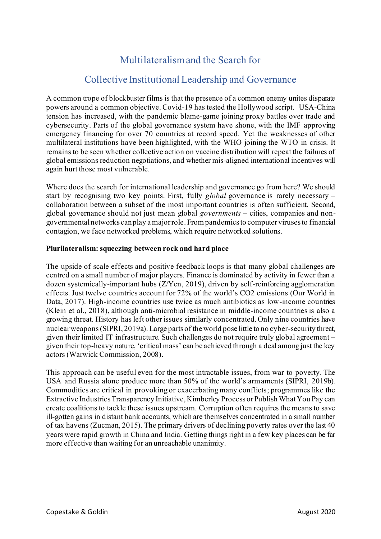# Multilateralism and the Search for

# Collective Institutional Leadership and Governance

A common trope of blockbuster films is that the presence of a common enemy unites disparate powers around a common objective. Covid-19 has tested the Hollywood script. USA-China tension has increased, with the pandemic blame-game joining proxy battles over trade and cybersecurity. Parts of the global governance system have shone, with the IMF approving emergency financing for over 70 countries at record speed. Yet the weaknesses of other multilateral institutions have been highlighted, with the WHO joining the WTO in crisis. It remains to be seen whether collective action on vaccine distribution will repeat the failures of global emissions reduction negotiations, and whether mis-aligned international incentives will again hurt those most vulnerable.

Where does the search for international leadership and governance go from here? We should start by recognising two key points. First, fully *global* governance is rarely necessary – collaboration between a subset of the most important countries is often sufficient. Second, global governance should not just mean global *governments* – cities, companies and nongovernmental networks can play a major role. From pandemics to computer viruses to financial contagion, we face networked problems, which require networked solutions.

#### **Plurilateralism: squeezing between rock and hard place**

The upside of scale effects and positive feedback loops is that many global challenges are centred on a small number of major players. Finance is dominated by activity in fewer than a dozen systemically-important hubs (Z/Yen, 2019), driven by self-reinforcing agglomeration effects. Just twelve countries account for 72% of the world's CO2 emissions (Our World in Data, 2017). High-income countries use twice as much antibiotics as low-income countries (Klein et al., 2018), although anti-microbial resistance in middle-income countries is also a growing threat. History has left other issues similarly concentrated. Only nine countries have nuclear weapons (SIPRI, 2019a). Large parts of the world pose little to no cyber-security threat, given their limited IT infrastructure. Such challenges do not require truly global agreement – given their top-heavy nature, 'critical mass' can be achieved through a deal among just the key actors (Warwick Commission, 2008).

This approach can be useful even for the most intractable issues, from war to poverty. The USA and Russia alone produce more than 50% of the world's armaments (SIPRI, 2019b). Commodities are critical in provoking or exacerbating many conflicts; programmes like the Extractive Industries Transparency Initiative, Kimberley Process orPublish What You Pay can create coalitions to tackle these issues upstream. Corruption often requires the means to save ill-gotten gains in distant bank accounts, which are themselves concentrated in a small number of tax havens (Zucman, 2015). The primary drivers of declining poverty rates over the last 40 years were rapid growth in China and India. Getting things right in a few key places can be far more effective than waiting for an unreachable unanimity.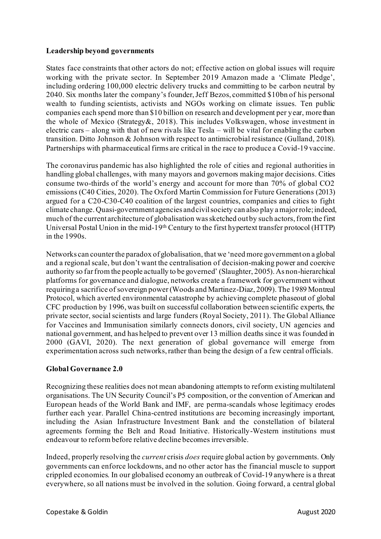#### **Leadership beyond governments**

States face constraints that other actors do not; effective action on global issues will require working with the private sector. In September 2019 Amazon made a 'Climate Pledge', including ordering 100,000 electric delivery trucks and committing to be carbon neutral by 2040. Six months later the company's founder, Jeff Bezos, committed \$10bn of his personal wealth to funding scientists, activists and NGOs working on climate issues. Ten public companies each spend more than \$10 billion on research and development per year, more than the whole of Mexico (Strategy&, 2018). This includes Volkswagen, whose investment in electric cars – along with that of new rivals like Tesla – will be vital for enabling the carbon transition. Ditto Johnson & Johnson with respect to antimicrobial resistance (Gulland, 2018). Partnerships with pharmaceutical firms are critical in the race to produce a Covid-19 vaccine.

The coronavirus pandemic has also highlighted the role of cities and regional authorities in handling global challenges, with many mayors and governors making major decisions. Cities consume two-thirds of the world's energy and account for more than 70% of global CO2 emissions (C40 Cities, 2020). The Oxford Martin Commission for Future Generations (2013) argued for a C20-C30-C40 coalition of the largest countries, companies and cities to fight climate change. Quasi-government agencies and civil society can also play a major role; indeed, much of the current architecture of globalisation was sketched out by such actors, from the first Universal Postal Union in the mid-19th Century to the first hypertext transfer protocol (HTTP) in the 1990s.

Networks can counter the paradox of globalisation, that we 'need more government on a global and a regional scale, but don't want the centralisation of decision-making power and coercive authority so far from the people actually to be governed' (Slaughter, 2005). As non-hierarchical platforms for governance and dialogue, networks create a framework for government without requiring a sacrifice of sovereign power (Woods and Martinez-Diaz, 2009). The 1989 Montreal Protocol, which averted environmental catastrophe by achieving complete phaseout of global CFC production by 1996, was built on successful collaboration between scientific experts, the private sector, social scientists and large funders (Royal Society, 2011). The Global Alliance for Vaccines and Immunisation similarly connects donors, civil society, UN agencies and national government, and has helped to prevent over 13 million deaths since it was founded in 2000 (GAVI, 2020). The next generation of global governance will emerge from experimentation across such networks, rather than being the design of a few central officials.

### **Global Governance 2.0**

Recognizing these realities does not mean abandoning attempts to reform existing multilateral organisations. The UN Security Council's P5 composition, or the convention of American and European heads of the World Bank and IMF, are perma-scandals whose legitimacy erodes further each year. Parallel China-centred institutions are becoming increasingly important, including the Asian Infrastructure Investment Bank and the constellation of bilateral agreements forming the Belt and Road Initiative. Historically-Western institutions must endeavour to reform before relative decline becomes irreversible.

Indeed, properly resolving the *current* crisis *does* require global action by governments. Only governments can enforce lockdowns, and no other actor has the financial muscle to support crippled economies. In our globalised economy an outbreak of Covid-19 anywhere is a threat everywhere, so all nations must be involved in the solution. Going forward, a central global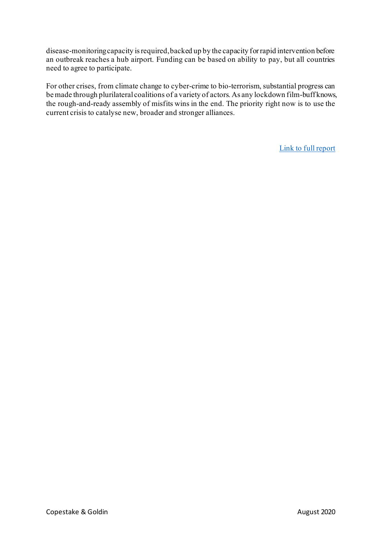disease-monitoring capacity is required, backed up by the capacity for rapid intervention before an outbreak reaches a hub airport. Funding can be based on ability to pay, but all countries need to agree to participate.

For other crises, from climate change to cyber-crime to bio-terrorism, substantial progress can be made through plurilateral coalitions of a variety of actors. As any lockdown film-buff knows, the rough-and-ready assembly of misfits wins in the end. The priority right now is to use the current crisis to catalyse new, broader and stronger alliances.

[Link to full report](https://copestake.info/uploads/otherwriting/multilateralism_search_for_collective_leadership.pdf)